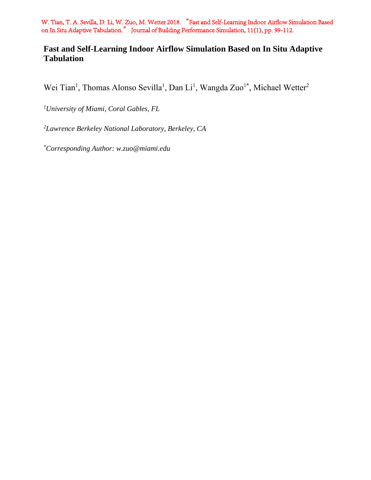W. Tian, T. A. Sevilla, D. Li, W. Zuo, M. Wetter 2018. "Fast and Self-Learning Indoor Airflow Simulation Based on In Situ Adaptive Tabulation." Journal of Building Performance Simulation, 11(1), pp. 99-112.

# **Fast and Self-Learning Indoor Airflow Simulation Based on In Situ Adaptive Tabulation**

Wei Tian<sup>1</sup>, Thomas Alonso Sevilla<sup>1</sup>, Dan Li<sup>1</sup>, Wangda Zuo<sup>1\*</sup>, Michael Wetter<sup>2</sup>

*1University of Miami, Coral Gables, FL* 

*2 Lawrence Berkeley National Laboratory, Berkeley, CA* 

*\*Corresponding Author: w.zuo@miami.edu*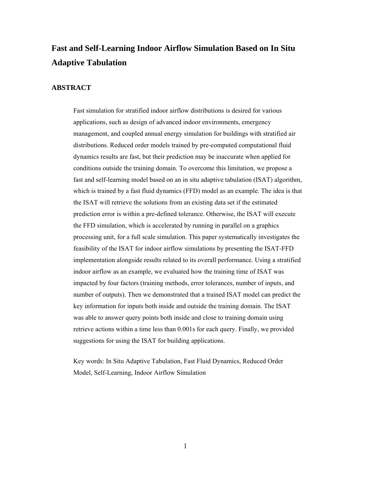# **Fast and Self-Learning Indoor Airflow Simulation Based on In Situ Adaptive Tabulation**

# **ABSTRACT**

Fast simulation for stratified indoor airflow distributions is desired for various applications, such as design of advanced indoor environments, emergency management, and coupled annual energy simulation for buildings with stratified air distributions. Reduced order models trained by pre-computed computational fluid dynamics results are fast, but their prediction may be inaccurate when applied for conditions outside the training domain. To overcome this limitation, we propose a fast and self-learning model based on an in situ adaptive tabulation (ISAT) algorithm, which is trained by a fast fluid dynamics (FFD) model as an example. The idea is that the ISAT will retrieve the solutions from an existing data set if the estimated prediction error is within a pre-defined tolerance. Otherwise, the ISAT will execute the FFD simulation, which is accelerated by running in parallel on a graphics processing unit, for a full scale simulation. This paper systematically investigates the feasibility of the ISAT for indoor airflow simulations by presenting the ISAT-FFD implementation alongside results related to its overall performance. Using a stratified indoor airflow as an example, we evaluated how the training time of ISAT was impacted by four factors (training methods, error tolerances, number of inputs, and number of outputs). Then we demonstrated that a trained ISAT model can predict the key information for inputs both inside and outside the training domain. The ISAT was able to answer query points both inside and close to training domain using retrieve actions within a time less than 0.001s for each query. Finally, we provided suggestions for using the ISAT for building applications.

Key words: In Situ Adaptive Tabulation, Fast Fluid Dynamics, Reduced Order Model, Self-Learning, Indoor Airflow Simulation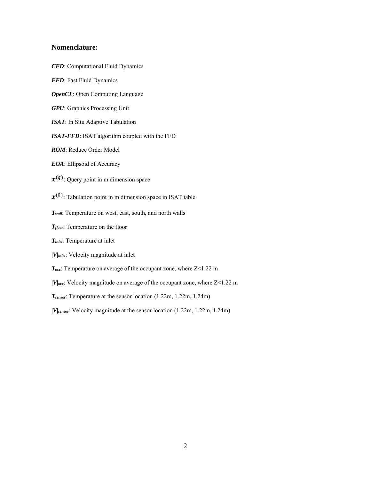### **Nomenclature:**

- *CFD*: Computational Fluid Dynamics
- *FFD*: Fast Fluid Dynamics
- *OpenCL*: Open Computing Language
- *GPU*: Graphics Processing Unit
- *ISAT*: In Situ Adaptive Tabulation
- *ISAT-FFD*: ISAT algorithm coupled with the FFD
- *ROM*: Reduce Order Model
- *EOA*: Ellipsoid of Accuracy
- $\mathbf{x}^{(q)}$ : Query point in m dimension space
- $\mathbf{x}^{(0)}$ : Tabulation point in m dimension space in ISAT table
- *Twall*: Temperature on west, east, south, and north walls
- *Tfloor*: Temperature on the floor
- *Tinlet*: Temperature at inlet
- *|V|inlet*: Velocity magnitude at inlet
- *Tocc*: Temperature on average of the occupant zone, where Z<1.22 m
- *|V|occ*: Velocity magnitude on average of the occupant zone, where Z<1.22 m
- *Tsensor*: Temperature at the sensor location (1.22m, 1.22m, 1.24m)
- *|V|sensor*: Velocity magnitude at the sensor location (1.22m, 1.22m, 1.24m)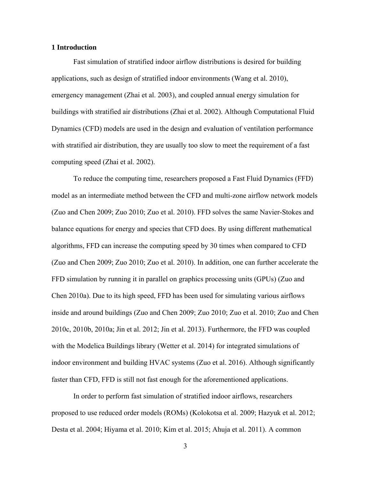# **1 Introduction**

Fast simulation of stratified indoor airflow distributions is desired for building applications, such as design of stratified indoor environments (Wang et al. 2010), emergency management (Zhai et al. 2003), and coupled annual energy simulation for buildings with stratified air distributions (Zhai et al. 2002). Although Computational Fluid Dynamics (CFD) models are used in the design and evaluation of ventilation performance with stratified air distribution, they are usually too slow to meet the requirement of a fast computing speed (Zhai et al. 2002).

To reduce the computing time, researchers proposed a Fast Fluid Dynamics (FFD) model as an intermediate method between the CFD and multi-zone airflow network models (Zuo and Chen 2009; Zuo 2010; Zuo et al. 2010). FFD solves the same Navier-Stokes and balance equations for energy and species that CFD does. By using different mathematical algorithms, FFD can increase the computing speed by 30 times when compared to CFD (Zuo and Chen 2009; Zuo 2010; Zuo et al. 2010). In addition, one can further accelerate the FFD simulation by running it in parallel on graphics processing units (GPUs) (Zuo and Chen 2010a). Due to its high speed, FFD has been used for simulating various airflows inside and around buildings (Zuo and Chen 2009; Zuo 2010; Zuo et al. 2010; Zuo and Chen 2010c, 2010b, 2010a; Jin et al. 2012; Jin et al. 2013). Furthermore, the FFD was coupled with the Modelica Buildings library (Wetter et al. 2014) for integrated simulations of indoor environment and building HVAC systems (Zuo et al. 2016). Although significantly faster than CFD, FFD is still not fast enough for the aforementioned applications.

In order to perform fast simulation of stratified indoor airflows, researchers proposed to use reduced order models (ROMs) (Kolokotsa et al. 2009; Hazyuk et al. 2012; Desta et al. 2004; Hiyama et al. 2010; Kim et al. 2015; Ahuja et al. 2011). A common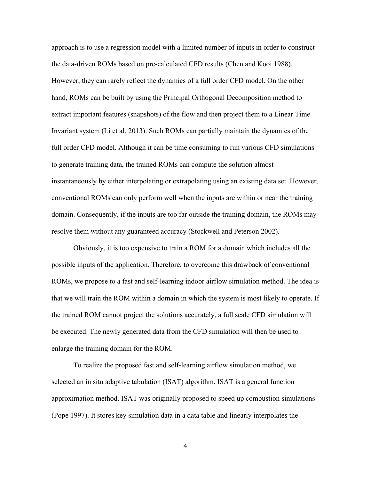approach is to use a regression model with a limited number of inputs in order to construct the data-driven ROMs based on pre-calculated CFD results (Chen and Kooi 1988). However, they can rarely reflect the dynamics of a full order CFD model. On the other hand, ROMs can be built by using the Principal Orthogonal Decomposition method to extract important features (snapshots) of the flow and then project them to a Linear Time Invariant system (Li et al. 2013). Such ROMs can partially maintain the dynamics of the full order CFD model. Although it can be time consuming to run various CFD simulations to generate training data, the trained ROMs can compute the solution almost instantaneously by either interpolating or extrapolating using an existing data set. However, conventional ROMs can only perform well when the inputs are within or near the training domain. Consequently, if the inputs are too far outside the training domain, the ROMs may resolve them without any guaranteed accuracy (Stockwell and Peterson 2002).

Obviously, it is too expensive to train a ROM for a domain which includes all the possible inputs of the application. Therefore, to overcome this drawback of conventional ROMs, we propose to a fast and self-learning indoor airflow simulation method. The idea is that we will train the ROM within a domain in which the system is most likely to operate. If the trained ROM cannot project the solutions accurately, a full scale CFD simulation will be executed. The newly generated data from the CFD simulation will then be used to enlarge the training domain for the ROM.

To realize the proposed fast and self-learning airflow simulation method, we selected an in situ adaptive tabulation (ISAT) algorithm. ISAT is a general function approximation method. ISAT was originally proposed to speed up combustion simulations (Pope 1997). It stores key simulation data in a data table and linearly interpolates the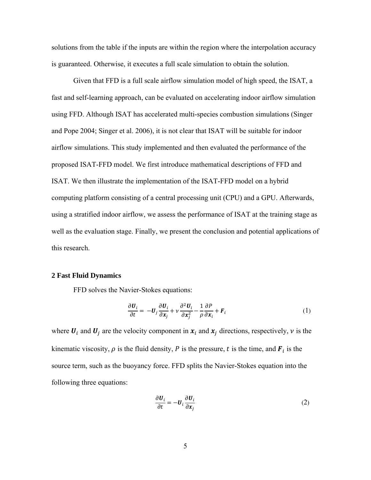solutions from the table if the inputs are within the region where the interpolation accuracy is guaranteed. Otherwise, it executes a full scale simulation to obtain the solution.

Given that FFD is a full scale airflow simulation model of high speed, the ISAT, a fast and self-learning approach, can be evaluated on accelerating indoor airflow simulation using FFD. Although ISAT has accelerated multi-species combustion simulations (Singer and Pope 2004; Singer et al. 2006), it is not clear that ISAT will be suitable for indoor airflow simulations. This study implemented and then evaluated the performance of the proposed ISAT-FFD model. We first introduce mathematical descriptions of FFD and ISAT. We then illustrate the implementation of the ISAT-FFD model on a hybrid computing platform consisting of a central processing unit (CPU) and a GPU. Afterwards, using a stratified indoor airflow, we assess the performance of ISAT at the training stage as well as the evaluation stage. Finally, we present the conclusion and potential applications of this research.

### **2 Fast Fluid Dynamics**

FFD solves the Navier-Stokes equations:

$$
\frac{\partial \boldsymbol{U}_i}{\partial t} = -\boldsymbol{U}_j \frac{\partial \boldsymbol{U}_i}{\partial \boldsymbol{x}_j} + \nu \frac{\partial^2 \boldsymbol{U}_i}{\partial \boldsymbol{x}_j^2} - \frac{1}{\rho} \frac{\partial P}{\partial \boldsymbol{x}_i} + \boldsymbol{F}_i
$$
\n(1)

where  $U_i$  and  $U_j$  are the velocity component in  $x_i$  and  $x_j$  directions, respectively,  $\nu$  is the kinematic viscosity,  $\rho$  is the fluid density, P is the pressure, t is the time, and  $F_i$  is the source term, such as the buoyancy force. FFD splits the Navier-Stokes equation into the following three equations:

$$
\frac{\partial \boldsymbol{U}_i}{\partial t} = -\boldsymbol{U}_i \frac{\partial \boldsymbol{U}_i}{\partial x_j} \tag{2}
$$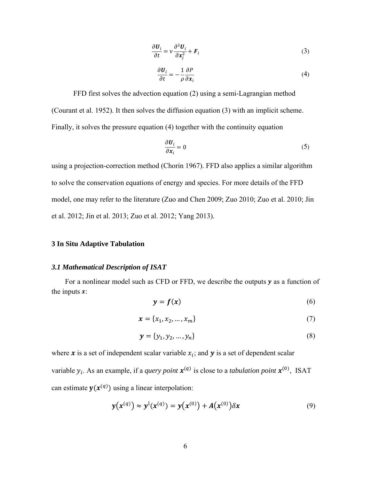$$
\frac{\partial \boldsymbol{U}_i}{\partial t} = \nu \frac{\partial^2 \boldsymbol{U}_i}{\partial x_i^2} + \boldsymbol{F}_i
$$
 (3)

$$
\frac{\partial \boldsymbol{U}_i}{\partial t} = -\frac{1}{\rho} \frac{\partial P}{\partial x_i} \tag{4}
$$

FFD first solves the advection equation (2) using a semi-Lagrangian method (Courant et al. 1952). It then solves the diffusion equation (3) with an implicit scheme. Finally, it solves the pressure equation (4) together with the continuity equation

$$
\frac{\partial \boldsymbol{U}_i}{\partial \boldsymbol{x}_i} = 0 \tag{5}
$$

using a projection-correction method (Chorin 1967). FFD also applies a similar algorithm to solve the conservation equations of energy and species. For more details of the FFD model, one may refer to the literature (Zuo and Chen 2009; Zuo 2010; Zuo et al. 2010; Jin et al. 2012; Jin et al. 2013; Zuo et al. 2012; Yang 2013).

# **3 In Situ Adaptive Tabulation**

# *3.1 Mathematical Description of ISAT*

For a nonlinear model such as CFD or FFD, we describe the outputs  $y$  as a function of the inputs  $\mathbf{x}$ :

$$
y = f(x) \tag{6}
$$

$$
x = \{x_1, x_2, ..., x_m\}
$$
 (7)

$$
\mathbf{y} = \{y_1, y_2, \dots, y_n\} \tag{8}
$$

where  $\boldsymbol{x}$  is a set of independent scalar variable  $x_i$ ; and  $\boldsymbol{y}$  is a set of dependent scalar

variable  $y_i$ . As an example, if a *query point*  $\mathbf{x}^{(q)}$  is close to a *tabulation point*  $\mathbf{x}^{(0)}$ , ISAT can estimate  $\mathbf{y}(\mathbf{x}^{(q)})$  using a linear interpolation:

$$
y(x^{(q)}) \approx y^{(r)}(x^{(q)}) = y(x^{(0)}) + A(x^{(0)})\delta x \tag{9}
$$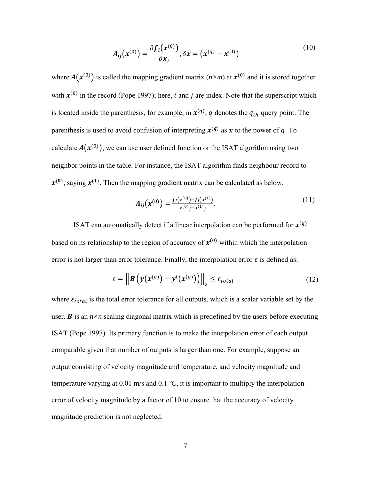$$
A_{ij}(x^{(0)}) = \frac{\partial f_i(x^{(0)})}{\partial x_j}, \delta x = (x^{(q)} - x^{(0)})
$$
\n(10)

where  $A(x^{(0)})$  is called the mapping gradient matrix ( $n \times m$ ) at  $x^{(0)}$  and it is stored together with  $\mathbf{x}^{(0)}$  in the record (Pope 1997); here, *i* and *j* are index. Note that the superscript which is located inside the parenthesis, for example, in  $x^{(q)}$ , q denotes the  $q_{th}$  query point. The parenthesis is used to avoid confusion of interpreting  $x^{(q)}$  as x to the power of q. To calculate  $A(x^{(0)})$ , we can use user defined function or the ISAT algorithm using two neighbor points in the table. For instance, the ISAT algorithm finds neighbour record to  $x^{(0)}$ , saying  $x^{(1)}$ . Then the mapping gradient matrix can be calculated as below.

$$
A_{ij}(x^{(0)}) = \frac{f_i(x^{(0)}) - f_i(x^{(1)})}{x^{(0)} - x^{(1)}i}.
$$
\n(11)

ISAT can automatically detect if a linear interpolation can be performed for  $x^{(q)}$ based on its relationship to the region of accuracy of  $x^{(0)}$  within which the interpolation error is not larger than error tolerance. Finally, the interpolation error  $\varepsilon$  is defined as:

$$
\varepsilon = \left\| \mathbf{B} \left( \mathbf{y}(\mathbf{x}^{(q)}) - \mathbf{y}^{(t)}(\mathbf{x}^{(q)}) \right) \right\|_2 \leq \varepsilon_{total} \tag{12}
$$

where  $\varepsilon_{total}$  is the total error tolerance for all outputs, which is a scalar variable set by the user. **B** is an  $n \times n$  scaling diagonal matrix which is predefined by the users before executing ISAT (Pope 1997). Its primary function is to make the interpolation error of each output comparable given that number of outputs is larger than one. For example, suppose an output consisting of velocity magnitude and temperature, and velocity magnitude and temperature varying at 0.01 m/s and 0.1 *ºC*, it is important to multiply the interpolation error of velocity magnitude by a factor of 10 to ensure that the accuracy of velocity magnitude prediction is not neglected.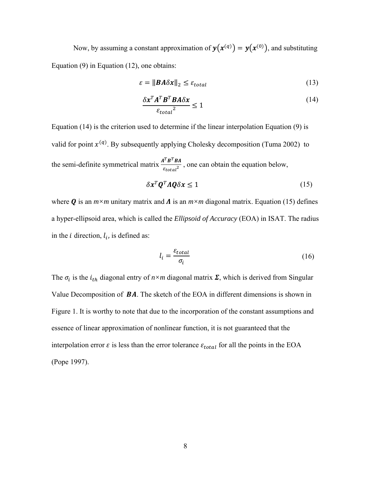Now, by assuming a constant approximation of  $y(x^{(q)}) = y(x^{(0)})$ , and substituting Equation (9) in Equation (12), one obtains:

$$
\varepsilon = \|\mathbf{B} \mathbf{A} \delta \mathbf{x}\|_2 \le \varepsilon_{total} \tag{13}
$$

$$
\frac{\delta x^T A^T B^T B A \delta x}{\epsilon_{total}^2} \le 1
$$
\n(14)

Equation (14) is the criterion used to determine if the linear interpolation Equation (9) is valid for point  $x^{(q)}$ . By subsequently applying Cholesky decomposition (Tuma 2002) to the semi-definite symmetrical matrix  $\frac{A^T B^T B A}{\varepsilon_{total}^2}$ , one can obtain the equation below,

$$
\delta x^T \mathbf{Q}^T A \mathbf{Q} \delta x \le 1 \tag{15}
$$

where **Q** is an  $m \times m$  unitary matrix and  $\Lambda$  is an  $m \times m$  diagonal matrix. Equation (15) defines a hyper-ellipsoid area, which is called the *Ellipsoid of Accuracy* (EOA) in ISAT. The radius in the *i* direction,  $l_i$ , is defined as:

$$
l_i = \frac{\varepsilon_{total}}{\sigma_i} \tag{16}
$$

The  $\sigma_i$  is the  $i_{th}$  diagonal entry of  $n \times m$  diagonal matrix  $\Sigma$ , which is derived from Singular Value Decomposition of  $BA$ . The sketch of the EOA in different dimensions is shown in Figure 1. It is worthy to note that due to the incorporation of the constant assumptions and essence of linear approximation of nonlinear function, it is not guaranteed that the interpolation error  $\varepsilon$  is less than the error tolerance  $\varepsilon_{total}$  for all the points in the EOA (Pope 1997).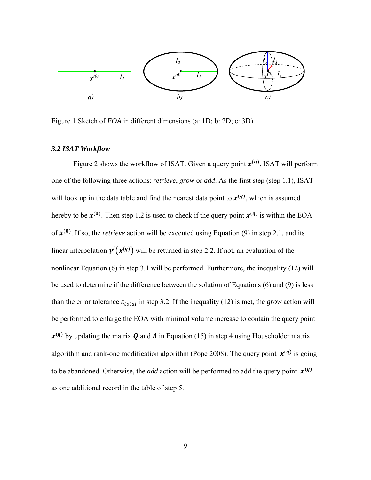

Figure 1 Sketch of *EOA* in different dimensions (a: 1D; b: 2D; c: 3D)

# *3.2 ISAT Workflow*

Figure 2 shows the workflow of ISAT. Given a query point  $x^{(q)}$ , ISAT will perform one of the following three actions: *retrieve*, *grow* or *add*. As the first step (step 1.1), ISAT will look up in the data table and find the nearest data point to  $x^{(q)}$ , which is assumed hereby to be  $\mathbf{x}^{(0)}$ . Then step 1.2 is used to check if the query point  $\mathbf{x}^{(q)}$  is within the EOA of  $x^{(0)}$ . If so, the *retrieve* action will be executed using Equation (9) in step 2.1, and its linear interpolation  $y^{l}(x^{(q)})$  will be returned in step 2.2. If not, an evaluation of the nonlinear Equation (6) in step 3.1 will be performed. Furthermore, the inequality (12) will be used to determine if the difference between the solution of Equations (6) and (9) is less than the error tolerance  $\varepsilon_{total}$  in step 3.2. If the inequality (12) is met, the *grow* action will be performed to enlarge the EOA with minimal volume increase to contain the query point  $x^{(q)}$  by updating the matrix  $Q$  and  $\Lambda$  in Equation (15) in step 4 using Householder matrix algorithm and rank-one modification algorithm (Pope 2008). The query point  $\mathbf{x}^{(q)}$  is going to be abandoned. Otherwise, the *add* action will be performed to add the query point  $\mathbf{x}^{(q)}$ as one additional record in the table of step 5.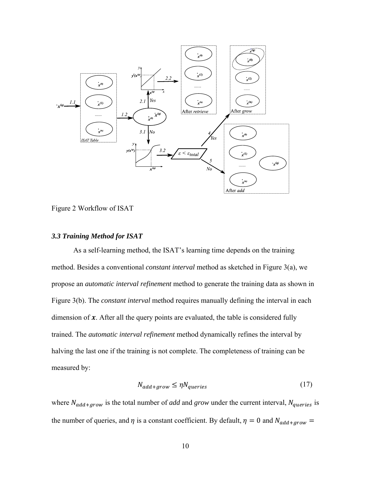

Figure 2 Workflow of ISAT

# *3.3 Training Method for ISAT*

As a self-learning method, the ISAT's learning time depends on the training method. Besides a conventional *constant interval* method as sketched in Figure 3(a), we propose an *automatic interval refinement* method to generate the training data as shown in Figure 3(b). The *constant interval* method requires manually defining the interval in each dimension of  $x$ . After all the query points are evaluated, the table is considered fully trained. The *automatic interval refinement* method dynamically refines the interval by halving the last one if the training is not complete. The completeness of training can be measured by:

$$
N_{add+grow} \le \eta N_{queries} \tag{17}
$$

where  $N_{add+grow}$  is the total number of *add* and *grow* under the current interval,  $N_{queries}$  is the number of queries, and  $\eta$  is a constant coefficient. By default,  $\eta = 0$  and  $N_{add+grow} =$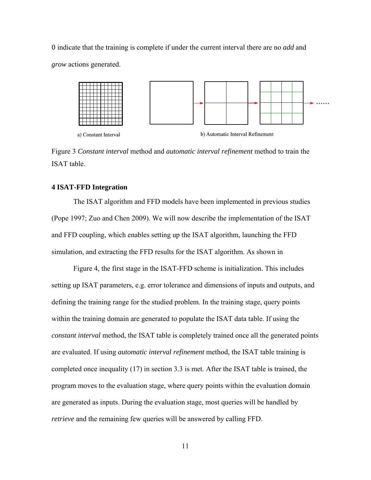0 indicate that the training is complete if under the current interval there are no *add* and *grow* actions generated.



Figure 3 *Constant interval* method and *automatic interval refinement* method to train the ISAT table.

### **4 ISAT-FFD Integration**

The ISAT algorithm and FFD models have been implemented in previous studies (Pope 1997; Zuo and Chen 2009). We will now describe the implementation of the ISAT and FFD coupling, which enables setting up the ISAT algorithm, launching the FFD simulation, and extracting the FFD results for the ISAT algorithm. As shown in

Figure 4, the first stage in the ISAT-FFD scheme is initialization. This includes setting up ISAT parameters, e.g. error tolerance and dimensions of inputs and outputs, and defining the training range for the studied problem. In the training stage, query points within the training domain are generated to populate the ISAT data table. If using the *constant interval* method, the ISAT table is completely trained once all the generated points are evaluated. If using *automatic interval refinement* method, the ISAT table training is completed once inequality (17) in section 3.3 is met. After the ISAT table is trained, the program moves to the evaluation stage, where query points within the evaluation domain are generated as inputs. During the evaluation stage, most queries will be handled by *retrieve* and the remaining few queries will be answered by calling FFD.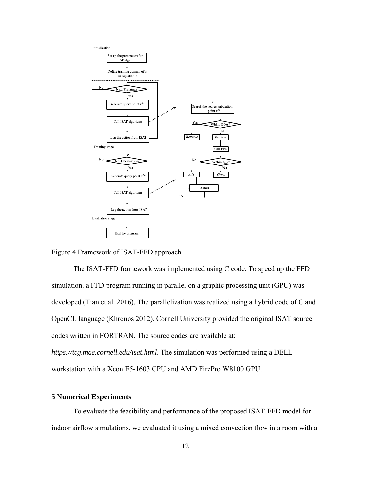

### Figure 4 Framework of ISAT-FFD approach

The ISAT-FFD framework was implemented using C code. To speed up the FFD simulation, a FFD program running in parallel on a graphic processing unit (GPU) was developed (Tian et al. 2016). The parallelization was realized using a hybrid code of C and OpenCL language (Khronos 2012). Cornell University provided the original ISAT source codes written in FORTRAN. The source codes are available at:

*https://tcg.mae.cornell.edu/isat.html*. The simulation was performed using a DELL workstation with a Xeon E5-1603 CPU and AMD FirePro W8100 GPU.

# **5 Numerical Experiments**

To evaluate the feasibility and performance of the proposed ISAT-FFD model for indoor airflow simulations, we evaluated it using a mixed convection flow in a room with a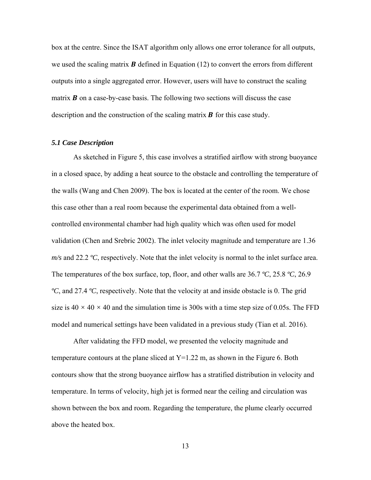box at the centre. Since the ISAT algorithm only allows one error tolerance for all outputs, we used the scaling matrix  $\bf{B}$  defined in Equation (12) to convert the errors from different outputs into a single aggregated error. However, users will have to construct the scaling matrix  $\bf{B}$  on a case-by-case basis. The following two sections will discuss the case description and the construction of the scaling matrix  $\bf{B}$  for this case study.

# *5.1 Case Description*

As sketched in Figure 5, this case involves a stratified airflow with strong buoyance in a closed space, by adding a heat source to the obstacle and controlling the temperature of the walls (Wang and Chen 2009). The box is located at the center of the room. We chose this case other than a real room because the experimental data obtained from a wellcontrolled environmental chamber had high quality which was often used for model validation (Chen and Srebric 2002). The inlet velocity magnitude and temperature are 1.36 *m/s* and 22.2 *ºC*, respectively. Note that the inlet velocity is normal to the inlet surface area. The temperatures of the box surface, top, floor, and other walls are 36.7 *ºC*, 25.8 *ºC*, 26.9 *ºC*, and 27.4 *ºC*, respectively. Note that the velocity at and inside obstacle is 0. The grid size is  $40 \times 40 \times 40$  and the simulation time is 300s with a time step size of 0.05s. The FFD model and numerical settings have been validated in a previous study (Tian et al. 2016).

After validating the FFD model, we presented the velocity magnitude and temperature contours at the plane sliced at  $Y=1.22$  m, as shown in the Figure 6. Both contours show that the strong buoyance airflow has a stratified distribution in velocity and temperature. In terms of velocity, high jet is formed near the ceiling and circulation was shown between the box and room. Regarding the temperature, the plume clearly occurred above the heated box.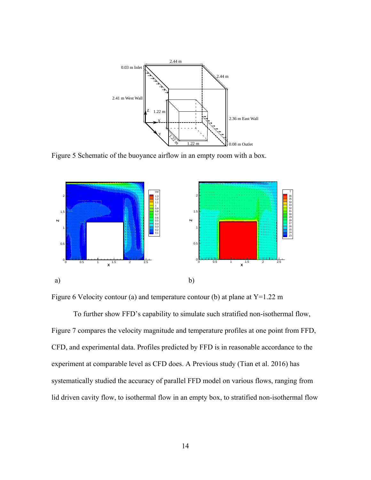

Figure 5 Schematic of the buoyance airflow in an empty room with a box.





To further show FFD's capability to simulate such stratified non-isothermal flow, Figure 7 compares the velocity magnitude and temperature profiles at one point from FFD, CFD, and experimental data. Profiles predicted by FFD is in reasonable accordance to the experiment at comparable level as CFD does. A Previous study (Tian et al. 2016) has systematically studied the accuracy of parallel FFD model on various flows, ranging from lid driven cavity flow, to isothermal flow in an empty box, to stratified non-isothermal flow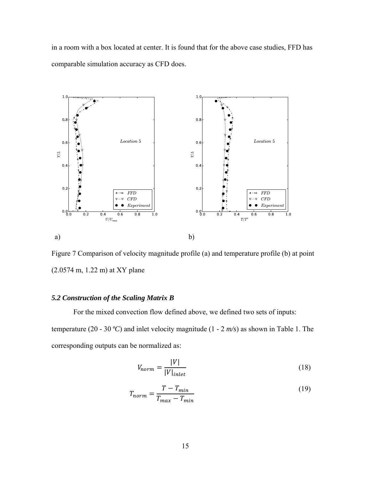in a room with a box located at center. It is found that for the above case studies, FFD has comparable simulation accuracy as CFD does.



Figure 7 Comparison of velocity magnitude profile (a) and temperature profile (b) at point (2.0574 m, 1.22 m) at XY plane

# *5.2 Construction of the Scaling Matrix B*

For the mixed convection flow defined above, we defined two sets of inputs: temperature (20 - 30 *ºC*) and inlet velocity magnitude (1 - 2 *m/s*) as shown in Table 1. The corresponding outputs can be normalized as:

$$
V_{norm} = \frac{|V|}{|V|_{inlet}}\tag{18}
$$

$$
T_{norm} = \frac{T - T_{min}}{T_{max} - T_{min}}\tag{19}
$$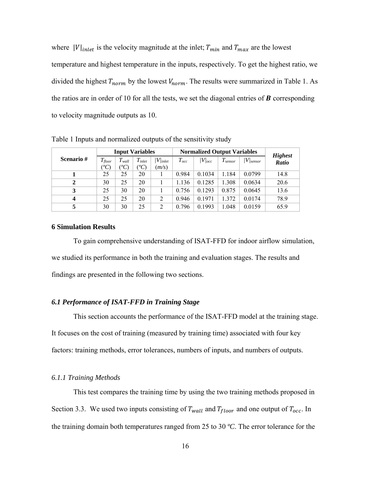where  $|V|_{inlet}$  is the velocity magnitude at the inlet;  $T_{min}$  and  $T_{max}$  are the lowest temperature and highest temperature in the inputs, respectively. To get the highest ratio, we divided the highest  $T_{norm}$  by the lowest  $V_{norm}$ . The results were summarized in Table 1. As the ratios are in order of 10 for all the tests, we set the diagonal entries of  $\bf{B}$  corresponding to velocity magnitude outputs as 10.

|                  | <b>Input Variables</b> |                                      |                             |                     | <b>Normalized Output Variables</b> |             |              |                | <b>Highest</b> |
|------------------|------------------------|--------------------------------------|-----------------------------|---------------------|------------------------------------|-------------|--------------|----------------|----------------|
| Scenario#        | $T_{floor}$<br>${}^oC$ | $T_{wall}$<br>${}^{\prime\prime}$ C) | $T_{\text{inlet}}$<br>$^oC$ | $V/$ inlet<br>(m/s) | $T_{occ}$                          | $ V _{occ}$ | $T_{sensor}$ | $ V _{sensor}$ | Ratio          |
|                  | 25                     | 25                                   | 20                          |                     | 0.984                              | 0.1034      | 1.184        | 0.0799         | 14.8           |
| $\mathbf{2}$     | 30                     | 25                                   | 20                          |                     | 1.136                              | 0.1285      | 1.308        | 0.0634         | 20.6           |
| 3                | 25                     | 30                                   | 20                          |                     | 0.756                              | 0.1293      | 0.875        | 0.0645         | 13.6           |
| $\boldsymbol{4}$ | 25                     | 25                                   | 20                          | $\overline{2}$      | 0.946                              | 0.1971      | 1.372        | 0.0174         | 78.9           |
| 5                | 30                     | 30                                   | 25                          | C                   | 0.796                              | 0.1993      | 1.048        | 0.0159         | 65.9           |

Table 1 Inputs and normalized outputs of the sensitivity study

# **6 Simulation Results**

To gain comprehensive understanding of ISAT-FFD for indoor airflow simulation, we studied its performance in both the training and evaluation stages. The results and findings are presented in the following two sections.

### *6.1 Performance of ISAT-FFD in Training Stage*

This section accounts the performance of the ISAT-FFD model at the training stage. It focuses on the cost of training (measured by training time) associated with four key factors: training methods, error tolerances, numbers of inputs, and numbers of outputs.

# *6.1.1 Training Methods*

This test compares the training time by using the two training methods proposed in Section 3.3. We used two inputs consisting of  $T_{wall}$  and  $T_{floor}$  and one output of  $T_{occ}$ . In the training domain both temperatures ranged from 25 to 30 *ºC*. The error tolerance for the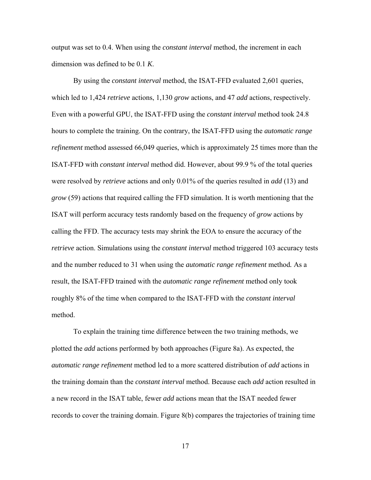output was set to 0.4. When using the *constant interval* method, the increment in each dimension was defined to be 0.1 *K*.

By using the *constant interval* method, the ISAT-FFD evaluated 2,601 queries, which led to 1,424 *retrieve* actions, 1,130 *grow* actions, and 47 *add* actions, respectively. Even with a powerful GPU, the ISAT-FFD using the *constant interval* method took 24.8 hours to complete the training. On the contrary, the ISAT-FFD using the *automatic range refinement* method assessed 66,049 queries, which is approximately 25 times more than the ISAT-FFD with *constant interval* method did. However, about 99.9 % of the total queries were resolved by *retrieve* actions and only 0.01% of the queries resulted in *add* (13) and *grow* (59) actions that required calling the FFD simulation. It is worth mentioning that the ISAT will perform accuracy tests randomly based on the frequency of *grow* actions by calling the FFD. The accuracy tests may shrink the EOA to ensure the accuracy of the *retrieve* action. Simulations using the *constant interval* method triggered 103 accuracy tests and the number reduced to 31 when using the *automatic range refinement* method*.* As a result, the ISAT-FFD trained with the *automatic range refinement* method only took roughly 8% of the time when compared to the ISAT-FFD with the *constant interval* method.

To explain the training time difference between the two training methods, we plotted the *add* actions performed by both approaches (Figure 8a). As expected, the *automatic range refinement* method led to a more scattered distribution of *add* actions in the training domain than the *constant interval* method. Because each *add* action resulted in a new record in the ISAT table, fewer *add* actions mean that the ISAT needed fewer records to cover the training domain. Figure 8(b) compares the trajectories of training time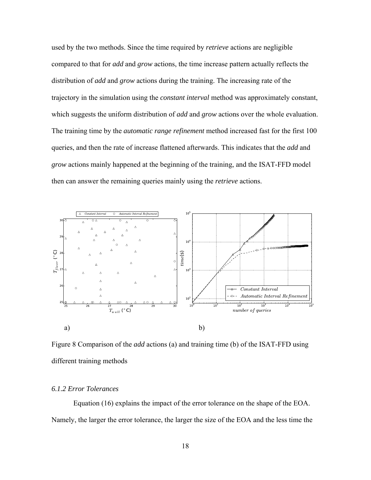used by the two methods. Since the time required by *retrieve* actions are negligible compared to that for *add* and *grow* actions, the time increase pattern actually reflects the distribution of *add* and *grow* actions during the training. The increasing rate of the trajectory in the simulation using the *constant interval* method was approximately constant, which suggests the uniform distribution of *add* and *grow* actions over the whole evaluation. The training time by the *automatic range refinement* method increased fast for the first 100 queries, and then the rate of increase flattened afterwards. This indicates that the *add* and *grow* actions mainly happened at the beginning of the training, and the ISAT-FFD model then can answer the remaining queries mainly using the *retrieve* actions.



Figure 8 Comparison of the *add* actions (a) and training time (b) of the ISAT-FFD using different training methods

# *6.1.2 Error Tolerances*

Equation (16) explains the impact of the error tolerance on the shape of the EOA. Namely, the larger the error tolerance, the larger the size of the EOA and the less time the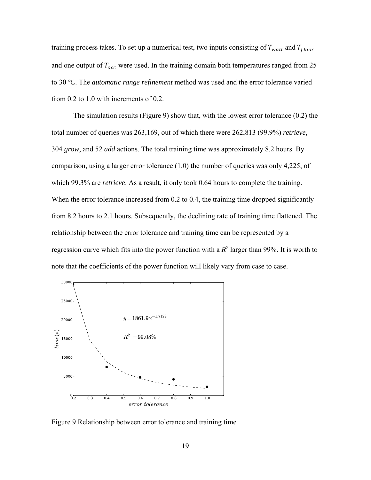training process takes. To set up a numerical test, two inputs consisting of  $T_{wall}$  and  $T_{floor}$ and one output of  $T_{occ}$  were used. In the training domain both temperatures ranged from 25 to 30 *ºC*. The *automatic range refinement* method was used and the error tolerance varied from 0.2 to 1.0 with increments of 0.2.

The simulation results (Figure 9) show that, with the lowest error tolerance (0.2) the total number of queries was 263,169, out of which there were 262,813 (99.9%) *retrieve*, 304 *grow*, and 52 *add* actions. The total training time was approximately 8.2 hours. By comparison, using a larger error tolerance (1.0) the number of queries was only 4,225, of which 99.3% are *retrieve*. As a result, it only took 0.64 hours to complete the training. When the error tolerance increased from 0.2 to 0.4, the training time dropped significantly from 8.2 hours to 2.1 hours. Subsequently, the declining rate of training time flattened. The relationship between the error tolerance and training time can be represented by a regression curve which fits into the power function with a  $R^2$  larger than 99%. It is worth to note that the coefficients of the power function will likely vary from case to case.



Figure 9 Relationship between error tolerance and training time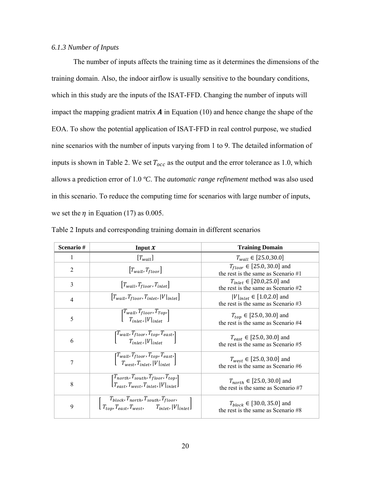# *6.1.3 Number of Inputs*

The number of inputs affects the training time as it determines the dimensions of the training domain. Also, the indoor airflow is usually sensitive to the boundary conditions, which in this study are the inputs of the ISAT-FFD. Changing the number of inputs will impact the mapping gradient matrix  $\boldsymbol{A}$  in Equation (10) and hence change the shape of the EOA. To show the potential application of ISAT-FFD in real control purpose, we studied nine scenarios with the number of inputs varying from 1 to 9. The detailed information of inputs is shown in Table 2. We set  $T_{occ}$  as the output and the error tolerance as 1.0, which allows a prediction error of 1.0 *ºC*. The *automatic range refinement* method was also used in this scenario. To reduce the computing time for scenarios with large number of inputs, we set the  $\eta$  in Equation (17) as 0.005.

| Scenario#      | Input $x$                                                                                                                           | <b>Training Domain</b>                                                    |  |  |
|----------------|-------------------------------------------------------------------------------------------------------------------------------------|---------------------------------------------------------------------------|--|--|
|                | $[T_{wall}]$                                                                                                                        | $T_{wall} \in [25.0, 30.0]$                                               |  |  |
| $\overline{2}$ | $[T_{wall}, T_{floor}]$                                                                                                             | $T_{floor} \in [25.0, 30.0]$ and<br>the rest is the same as Scenario #1   |  |  |
| 3              | $ T_{wall}, T_{floor}, T_{inlet} $                                                                                                  | $T_{inlet} \in [20.0, 25.0]$ and<br>the rest is the same as Scenario #2   |  |  |
| $\overline{4}$ | $[T_{wall}, T_{floor}, T_{inlet},  V _{inlet}]$                                                                                     | $ V _{inlet} \in [1.0, 2.0]$ and<br>the rest is the same as Scenario $#3$ |  |  |
| 5              | $\begin{bmatrix} T_{wall}, T_{floor}, T_{Top} \ T_{inlet},  V _{inter} \end{bmatrix}$                                               | $T_{top} \in [25.0, 30.0]$ and<br>the rest is the same as Scenario #4     |  |  |
| 6              | $\begin{bmatrix} T_{wall}, T_{floor}, T_{top}, T_{east}, \\ T_{inlet},  V _{inlet} \end{bmatrix}$                                   | $T_{east} \in [25.0, 30.0]$ and<br>the rest is the same as Scenario #5    |  |  |
| 7              | $\begin{bmatrix} T_{wall}, T_{floor}, T_{top}, T_{east}, \\ T_{west}, T_{inlet},  V _{inlet} \end{bmatrix}$                         | $T_{west} \in [25.0, 30.0]$ and<br>the rest is the same as Scenario #6    |  |  |
| 8              | $[T_{north}, T_{south}, T_{floor}, T_{top},]$<br>$[T_{east}, T_{west}, T_{inlet},  V _{inlet}]$                                     | $T_{north} \in [25.0, 30.0]$ and<br>the rest is the same as Scenario #7   |  |  |
| 9              | $\left[ \frac{T_{block}, T_{north}, T_{north}, T_{south}, T_{floor},}{T_{top}, T_{east}, T_{west}, T_{inlet},  V _{inlet}} \right]$ | $T_{block} \in [30.0, 35.0]$ and<br>the rest is the same as Scenario #8   |  |  |

Table 2 Inputs and corresponding training domain in different scenarios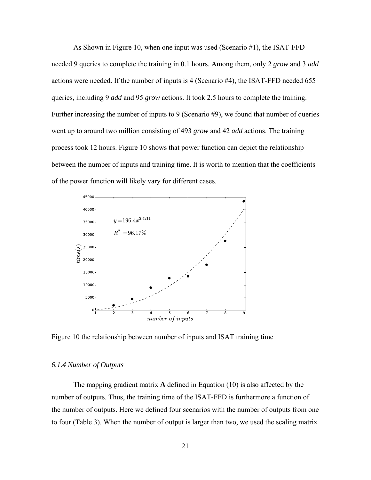As Shown in Figure 10, when one input was used (Scenario #1), the ISAT-FFD needed 9 queries to complete the training in 0.1 hours. Among them, only 2 *grow* and 3 *add* actions were needed. If the number of inputs is 4 (Scenario #4), the ISAT-FFD needed 655 queries, including 9 *add* and 95 *grow* actions. It took 2.5 hours to complete the training. Further increasing the number of inputs to 9 (Scenario #9), we found that number of queries went up to around two million consisting of 493 *grow* and 42 *add* actions. The training process took 12 hours. Figure 10 shows that power function can depict the relationship between the number of inputs and training time. It is worth to mention that the coefficients of the power function will likely vary for different cases.



Figure 10 the relationship between number of inputs and ISAT training time

### *6.1.4 Number of Outputs*

The mapping gradient matrix **A** defined in Equation (10) is also affected by the number of outputs. Thus, the training time of the ISAT-FFD is furthermore a function of the number of outputs. Here we defined four scenarios with the number of outputs from one to four (Table 3). When the number of output is larger than two, we used the scaling matrix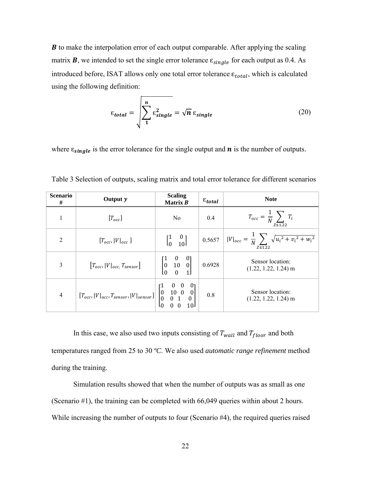$\boldsymbol{B}$  to make the interpolation error of each output comparable. After applying the scaling matrix **B**, we intended to set the single error tolerance  $\varepsilon_{single}$  for each output as 0.4. As introduced before, ISAT allows only one total error tolerance  $\varepsilon_{total}$ , which is calculated using the following definition:

$$
\varepsilon_{total} = \sqrt{\sum_{1}^{n} \varepsilon_{single}^{2}} = \sqrt{n} \, \varepsilon_{single}
$$
 (20)

where  $\varepsilon_{single}$  is the error tolerance for the single output and  $\boldsymbol{n}$  is the number of outputs.

| <b>Scenario</b><br># | Output y                                                                                                                                                    | <b>Scaling</b><br>Matrix B                                           | $\varepsilon_{total}$ | <b>Note</b>                                                                             |  |
|----------------------|-------------------------------------------------------------------------------------------------------------------------------------------------------------|----------------------------------------------------------------------|-----------------------|-----------------------------------------------------------------------------------------|--|
|                      | $[T_{occ}]$                                                                                                                                                 | No                                                                   | 0.4                   | $T_{occ} = \frac{1}{N} \sum T_i$<br>$\overline{z}$ \le 1.22                             |  |
| $\overline{2}$       | $[T_{occ},  V _{occ}]$                                                                                                                                      | $\begin{bmatrix} 1 & 0 \\ 0 & 10 \end{bmatrix}$                      |                       | $0.5657$   $ V _{occ} = \frac{1}{N} \sum \sqrt{u_i^2 + v_i^2 + w_i^2}$<br>$Z \leq 1.22$ |  |
| 3                    | $[T_{occ},  V _{occ}, T_{sensor}]$                                                                                                                          | $\begin{bmatrix} 1 & 0 & 0 \\ 0 & 10 & 0 \\ 0 & 0 & 1 \end{bmatrix}$ | 0.6928                | Sensor location:<br>$(1.22, 1.22, 1.24)$ m                                              |  |
| 4                    | $\begin{bmatrix} T_{occ},  V _{occ}, T_{sensor},  V _{sensor} \end{bmatrix} \begin{bmatrix} 1 & 0 & 0 & 0 \\ 0 & 10 & 0 & 0 \\ 0 & 0 & 1 & 0 \end{bmatrix}$ |                                                                      | $0.8\,$               | Sensor location:<br>$(1.22, 1.22, 1.24)$ m                                              |  |

Table 3 Selection of outputs, scaling matrix and total error tolerance for different scenarios

In this case, we also used two inputs consisting of  $T_{wall}$  and  $T_{floor}$  and both temperatures ranged from 25 to 30 *ºC*. We also used *automatic range refinement* method during the training.

Simulation results showed that when the number of outputs was as small as one (Scenario #1), the training can be completed with 66,049 queries within about 2 hours. While increasing the number of outputs to four (Scenario #4), the required queries raised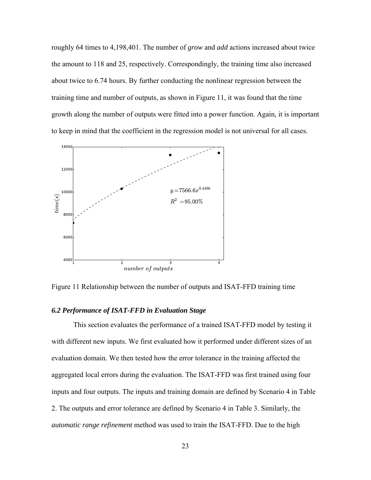roughly 64 times to 4,198,401. The number of *grow* and *add* actions increased about twice the amount to 118 and 25, respectively. Correspondingly, the training time also increased about twice to 6.74 hours. By further conducting the nonlinear regression between the training time and number of outputs, as shown in Figure 11, it was found that the time growth along the number of outputs were fitted into a power function. Again, it is important to keep in mind that the coefficient in the regression model is not universal for all cases.



Figure 11 Relationship between the number of outputs and ISAT-FFD training time

# *6.2 Performance of ISAT-FFD in Evaluation Stage*

This section evaluates the performance of a trained ISAT-FFD model by testing it with different new inputs. We first evaluated how it performed under different sizes of an evaluation domain. We then tested how the error tolerance in the training affected the aggregated local errors during the evaluation. The ISAT-FFD was first trained using four inputs and four outputs. The inputs and training domain are defined by Scenario 4 in Table 2. The outputs and error tolerance are defined by Scenario 4 in Table 3. Similarly, the *automatic range refinement* method was used to train the ISAT-FFD. Due to the high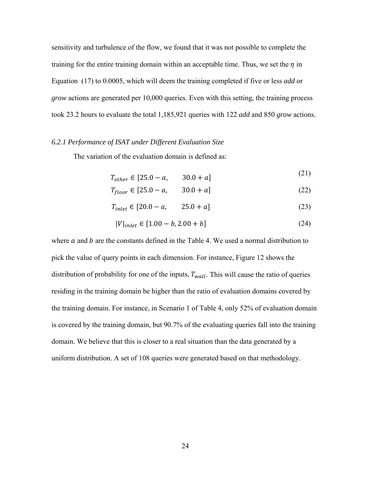sensitivity and turbulence of the flow, we found that it was not possible to complete the training for the entire training domain within an acceptable time. Thus, we set the  $\eta$  in Equation (17) to 0.0005, which will deem the training completed if five or less *add* or *grow* actions are generated per 10,000 queries. Even with this setting, the training process took 23.2 hours to evaluate the total 1,185,921 queries with 122 *add* and 850 *grow* actions.

### *6.2.1 Performance of ISAT under Different Evaluation Size*

The variation of the evaluation domain is defined as:

$$
T_{other} \in [25.0 - a, \qquad 30.0 + a]
$$
 (21)

$$
T_{floor} \in [25.0 - a, 30.0 + a]
$$
 (22)

$$
T_{inlet} \in [20.0 - a, 25.0 + a]
$$
 (23)

$$
|V|_{inlet} \in [1.00 - b, 2.00 + b]
$$
\n<sup>(24)</sup>

where  $\alpha$  and  $\beta$  are the constants defined in the Table 4. We used a normal distribution to pick the value of query points in each dimension. For instance, Figure 12 shows the distribution of probability for one of the inputs,  $T_{wall}$ . This will cause the ratio of queries residing in the training domain be higher than the ratio of evaluation domains covered by the training domain. For instance, in Scenario 1 of Table 4, only 52% of evaluation domain is covered by the training domain, but 90.7% of the evaluating queries fall into the training domain. We believe that this is closer to a real situation than the data generated by a uniform distribution. A set of 108 queries were generated based on that methodology.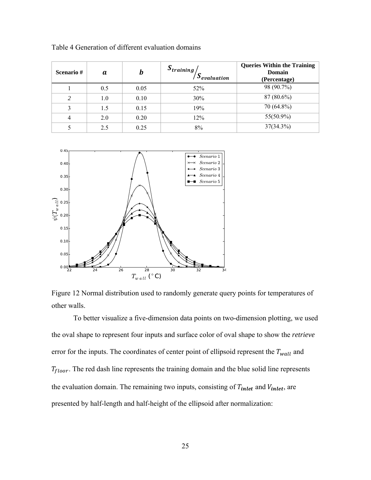| Scenario# | a   | h    | $S_{training}$ /<br>$S_{evaluation}$ | <b>Queries Within the Training</b><br>Domain<br>(Percentage) |
|-----------|-----|------|--------------------------------------|--------------------------------------------------------------|
|           | 0.5 | 0.05 | 52%                                  | 98 (90.7%)                                                   |
| ◠         | 1.0 | 0.10 | 30%                                  | $87(80.6\%)$                                                 |
|           | 1.5 | 0.15 | 19%                                  | 70 (64.8%)                                                   |
| 4         | 2.0 | 0.20 | 12%                                  | $55(50.9\%)$                                                 |
|           | 2.5 | 0.25 | 8%                                   | $37(34.3\%)$                                                 |

Table 4 Generation of different evaluation domains



Figure 12 Normal distribution used to randomly generate query points for temperatures of other walls.

To better visualize a five-dimension data points on two-dimension plotting, we used the oval shape to represent four inputs and surface color of oval shape to show the *retrieve* error for the inputs. The coordinates of center point of ellipsoid represent the  $T_{wall}$  and  $T_{floor}$ . The red dash line represents the training domain and the blue solid line represents the evaluation domain. The remaining two inputs, consisting of  $T_{inlet}$  and  $V_{inlet}$ , are presented by half-length and half-height of the ellipsoid after normalization: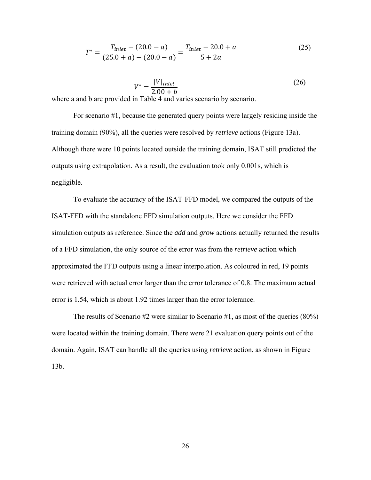$$
T^* = \frac{T_{inlet} - (20.0 - a)}{(25.0 + a) - (20.0 - a)} = \frac{T_{inlet} - 20.0 + a}{5 + 2a}
$$
(25)

$$
V^* = \frac{|V|_{inlet}}{2.00 + b}
$$
 (26)

where a and b are provided in Table 4 and varies scenario by scenario.

For scenario #1, because the generated query points were largely residing inside the training domain (90%), all the queries were resolved by *retrieve* actions (Figure 13a). Although there were 10 points located outside the training domain, ISAT still predicted the outputs using extrapolation. As a result, the evaluation took only 0.001s, which is negligible.

 To evaluate the accuracy of the ISAT-FFD model, we compared the outputs of the ISAT-FFD with the standalone FFD simulation outputs. Here we consider the FFD simulation outputs as reference. Since the *add* and *grow* actions actually returned the results of a FFD simulation, the only source of the error was from the *retrieve* action which approximated the FFD outputs using a linear interpolation. As coloured in red, 19 points were retrieved with actual error larger than the error tolerance of 0.8. The maximum actual error is 1.54, which is about 1.92 times larger than the error tolerance.

The results of Scenario #2 were similar to Scenario #1, as most of the queries (80%) were located within the training domain. There were 21 evaluation query points out of the domain. Again, ISAT can handle all the queries using *retrieve* action, as shown in Figure 13b.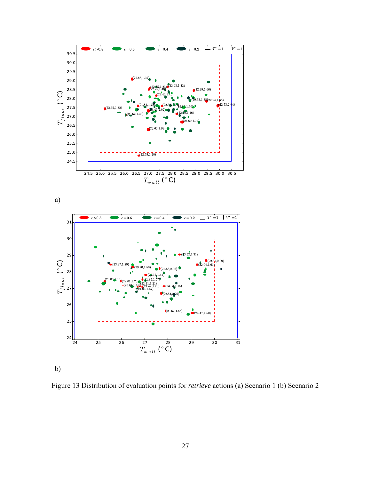



Figure 13 Distribution of evaluation points for *retrieve* actions (a) Scenario 1 (b) Scenario 2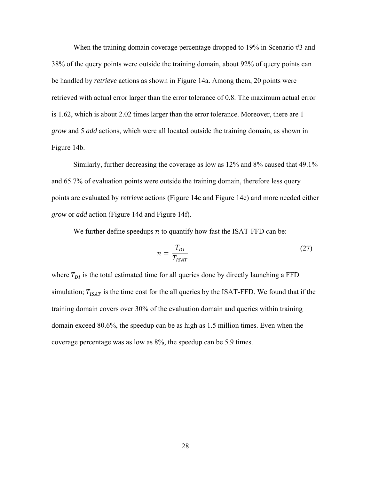When the training domain coverage percentage dropped to 19% in Scenario #3 and 38% of the query points were outside the training domain, about 92% of query points can be handled by *retrieve* actions as shown in Figure 14a. Among them, 20 points were retrieved with actual error larger than the error tolerance of 0.8. The maximum actual error is 1.62, which is about 2.02 times larger than the error tolerance. Moreover, there are 1 *grow* and 5 *add* actions, which were all located outside the training domain, as shown in Figure 14b.

Similarly, further decreasing the coverage as low as 12% and 8% caused that 49.1% and 65.7% of evaluation points were outside the training domain, therefore less query points are evaluated by *retrieve* actions (Figure 14c and Figure 14e) and more needed either *grow* or *add* action (Figure 14d and Figure 14f).

We further define speedups  $n$  to quantify how fast the ISAT-FFD can be:

$$
n = \frac{T_{DI}}{T_{ISAT}}\tag{27}
$$

where  $T_{DI}$  is the total estimated time for all queries done by directly launching a FFD simulation;  $T_{ISAT}$  is the time cost for the all queries by the ISAT-FFD. We found that if the training domain covers over 30% of the evaluation domain and queries within training domain exceed 80.6%, the speedup can be as high as 1.5 million times. Even when the coverage percentage was as low as 8%, the speedup can be 5.9 times.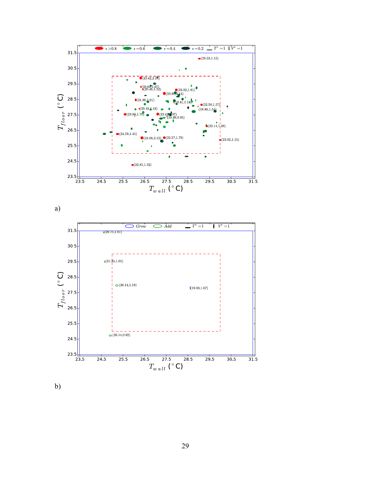

a)



b)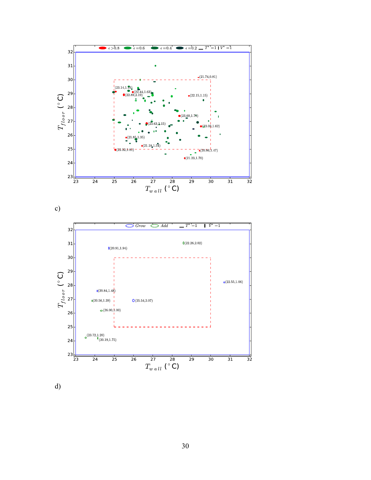

c)



d)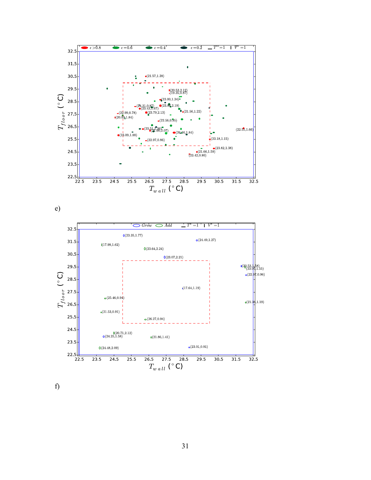



f)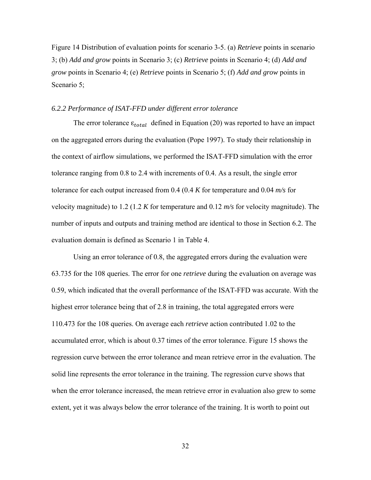Figure 14 Distribution of evaluation points for scenario 3-5. (a) *Retrieve* points in scenario 3; (b) *Add and grow* points in Scenario 3; (c) *Retrieve* points in Scenario 4; (d) *Add and grow* points in Scenario 4; (e) *Retrieve* points in Scenario 5; (f) *Add and grow* points in Scenario 5;

### *6.2.2 Performance of ISAT-FFD under different error tolerance*

The error tolerance  $\varepsilon_{total}$  defined in Equation (20) was reported to have an impact on the aggregated errors during the evaluation (Pope 1997). To study their relationship in the context of airflow simulations, we performed the ISAT-FFD simulation with the error tolerance ranging from 0.8 to 2.4 with increments of 0.4. As a result, the single error tolerance for each output increased from 0.4 (0.4 *K* for temperature and 0.04 *m/s* for velocity magnitude) to 1.2 (1.2 *K* for temperature and 0.12 *m/s* for velocity magnitude). The number of inputs and outputs and training method are identical to those in Section 6.2. The evaluation domain is defined as Scenario 1 in Table 4.

Using an error tolerance of 0.8, the aggregated errors during the evaluation were 63.735 for the 108 queries. The error for one *retrieve* during the evaluation on average was 0.59, which indicated that the overall performance of the ISAT-FFD was accurate. With the highest error tolerance being that of 2.8 in training, the total aggregated errors were 110.473 for the 108 queries. On average each *retrieve* action contributed 1.02 to the accumulated error, which is about 0.37 times of the error tolerance. Figure 15 shows the regression curve between the error tolerance and mean retrieve error in the evaluation. The solid line represents the error tolerance in the training. The regression curve shows that when the error tolerance increased, the mean retrieve error in evaluation also grew to some extent, yet it was always below the error tolerance of the training. It is worth to point out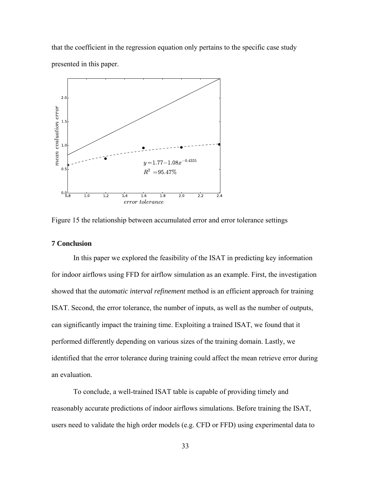that the coefficient in the regression equation only pertains to the specific case study presented in this paper.



Figure 15 the relationship between accumulated error and error tolerance settings

# **7 Conclusion**

In this paper we explored the feasibility of the ISAT in predicting key information for indoor airflows using FFD for airflow simulation as an example. First, the investigation showed that the *automatic interval refinement* method is an efficient approach for training ISAT. Second, the error tolerance, the number of inputs, as well as the number of outputs, can significantly impact the training time. Exploiting a trained ISAT, we found that it performed differently depending on various sizes of the training domain. Lastly, we identified that the error tolerance during training could affect the mean retrieve error during an evaluation.

To conclude, a well-trained ISAT table is capable of providing timely and reasonably accurate predictions of indoor airflows simulations. Before training the ISAT, users need to validate the high order models (e.g. CFD or FFD) using experimental data to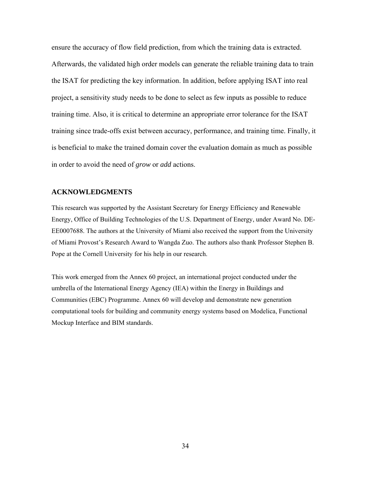ensure the accuracy of flow field prediction, from which the training data is extracted. Afterwards, the validated high order models can generate the reliable training data to train the ISAT for predicting the key information. In addition, before applying ISAT into real project, a sensitivity study needs to be done to select as few inputs as possible to reduce training time. Also, it is critical to determine an appropriate error tolerance for the ISAT training since trade-offs exist between accuracy, performance, and training time. Finally, it is beneficial to make the trained domain cover the evaluation domain as much as possible in order to avoid the need of *grow* or *add* actions.

### **ACKNOWLEDGMENTS**

This research was supported by the Assistant Secretary for Energy Efficiency and Renewable Energy, Office of Building Technologies of the U.S. Department of Energy, under Award No. DE-EE0007688. The authors at the University of Miami also received the support from the University of Miami Provost's Research Award to Wangda Zuo. The authors also thank Professor Stephen B. Pope at the Cornell University for his help in our research.

This work emerged from the Annex 60 project, an international project conducted under the umbrella of the International Energy Agency (IEA) within the Energy in Buildings and Communities (EBC) Programme. Annex 60 will develop and demonstrate new generation computational tools for building and community energy systems based on Modelica, Functional Mockup Interface and BIM standards.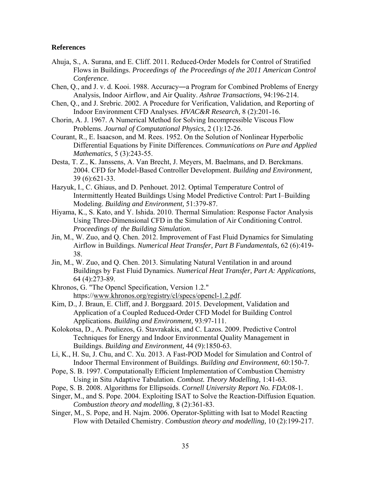### **References**

- Ahuja, S., A. Surana, and E. Cliff. 2011. Reduced-Order Models for Control of Stratified Flows in Buildings. *Proceedings of the Proceedings of the 2011 American Control Conference*.
- Chen, Q., and J. v. d. Kooi. 1988. Accuracy―a Program for Combined Problems of Energy Analysis, Indoor Airflow, and Air Quality. *Ashrae Transactions,* 94:196-214.
- Chen, Q., and J. Srebric. 2002. A Procedure for Verification, Validation, and Reporting of Indoor Environment CFD Analyses. *HVAC&R Research,* 8 (2):201-16.
- Chorin, A. J. 1967. A Numerical Method for Solving Incompressible Viscous Flow Problems. *Journal of Computational Physics,* 2 (1):12-26.
- Courant, R., E. Isaacson, and M. Rees. 1952. On the Solution of Nonlinear Hyperbolic Differential Equations by Finite Differences. *Communications on Pure and Applied Mathematics,* 5 (3):243-55.
- Desta, T. Z., K. Janssens, A. Van Brecht, J. Meyers, M. Baelmans, and D. Berckmans. 2004. CFD for Model-Based Controller Development. *Building and Environment,* 39 (6):621-33.
- Hazyuk, I., C. Ghiaus, and D. Penhouet. 2012. Optimal Temperature Control of Intermittently Heated Buildings Using Model Predictive Control: Part I–Building Modeling. *Building and Environment,* 51:379-87.
- Hiyama, K., S. Kato, and Y. Ishida. 2010. Thermal Simulation: Response Factor Analysis Using Three-Dimensional CFD in the Simulation of Air Conditioning Control. *Proceedings of the Building Simulation*.
- Jin, M., W. Zuo, and Q. Chen. 2012. Improvement of Fast Fluid Dynamics for Simulating Airflow in Buildings. *Numerical Heat Transfer, Part B Fundamentals,* 62 (6):419- 38.
- Jin, M., W. Zuo, and Q. Chen. 2013. Simulating Natural Ventilation in and around Buildings by Fast Fluid Dynamics. *Numerical Heat Transfer, Part A: Applications,* 64 (4):273-89.
- Khronos, G. "The Opencl Specification, Version 1.2." https://www.khronos.org/registry/cl/specs/opencl-1.2.pdf.
- Kim, D., J. Braun, E. Cliff, and J. Borggaard. 2015. Development, Validation and Application of a Coupled Reduced-Order CFD Model for Building Control Applications. *Building and Environment,* 93:97-111.
- Kolokotsa, D., A. Pouliezos, G. Stavrakakis, and C. Lazos. 2009. Predictive Control Techniques for Energy and Indoor Environmental Quality Management in Buildings. *Building and Environment,* 44 (9):1850-63.
- Li, K., H. Su, J. Chu, and C. Xu. 2013. A Fast-POD Model for Simulation and Control of Indoor Thermal Environment of Buildings. *Building and Environment,* 60:150-7.
- Pope, S. B. 1997. Computationally Efficient Implementation of Combustion Chemistry Using in Situ Adaptive Tabulation. *Combust. Theory Modelling,* 1:41-63.
- Pope, S. B. 2008. Algorithms for Ellipsoids. *Cornell University Report No. FDA*:08-1.
- Singer, M., and S. Pope. 2004. Exploiting ISAT to Solve the Reaction-Diffusion Equation. *Combustion theory and modelling,* 8 (2):361-83.
- Singer, M., S. Pope, and H. Najm. 2006. Operator-Splitting with Isat to Model Reacting Flow with Detailed Chemistry. *Combustion theory and modelling,* 10 (2):199-217.